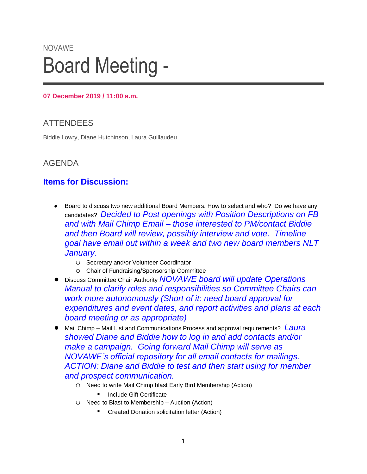# NOVAWE Board Meeting -

#### **07 December 2019 / 11:00 a.m.**

# **ATTENDEES**

Biddie Lowry, Diane Hutchinson, Laura Guillaudeu

## AGENDA

## **Items for Discussion:**

- Board to discuss two new additional Board Members. How to select and who? Do we have any candidates? *Decided to Post openings with Position Descriptions on FB and with Mail Chimp Email – those interested to PM/contact Biddie and then Board will review, possibly interview and vote. Timeline goal have email out within a week and two new board members NLT January.*
	- o Secretary and/or Volunteer Coordinator
	- o Chair of Fundraising/Sponsorship Committee
- Discuss Committee Chair Authority *NOVAWE board will update Operations Manual to clarify roles and responsibilities so Committee Chairs can work more autonomously (Short of it: need board approval for expenditures and event dates, and report activities and plans at each board meeting or as appropriate)*
- Mail Chimp Mail List and Communications Process and approval requirements? Laura *showed Diane and Biddie how to log in and add contacts and/or make a campaign. Going forward Mail Chimp will serve as NOVAWE's official repository for all email contacts for mailings. ACTION: Diane and Biddie to test and then start using for member and prospect communication.*
	- o Need to write Mail Chimp blast Early Bird Membership (Action)

■ Include Gift Certificate

- o Need to Blast to Membership Auction (Action)
	- **Created Donation solicitation letter (Action)**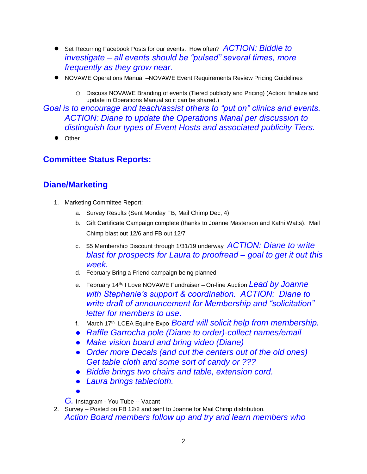- Set Recurring Facebook Posts for our events. How often? *ACTION: Biddie to investigate – all events should be "pulsed" several times, more frequently as they grow near.*
- NOVAWE Operations Manual –NOVAWE Event Requirements Review Pricing Guidelines
	- o Discuss NOVAWE Branding of events (Tiered publicity and Pricing) (Action: finalize and update in Operations Manual so it can be shared.)

*Goal is to encourage and teach/assist others to "put on" clinics and events. ACTION: Diane to update the Operations Manal per discussion to distinguish four types of Event Hosts and associated publicity Tiers.* 

**Other** 

#### **Committee Status Reports:**

#### **Diane/Marketing**

- 1. Marketing Committee Report:
	- a. Survey Results (Sent Monday FB, Mail Chimp Dec, 4)
	- b. Gift Certificate Campaign complete (thanks to Joanne Masterson and Kathi Watts). Mail Chimp blast out 12/6 and FB out 12/7
	- c. \$5 Membership Discount through 1/31/19 underway *ACTION: Diane to write blast for prospects for Laura to proofread – goal to get it out this week.*
	- d. February Bring a Friend campaign being planned
	- e. February 14<sup>th,</sup> I Love NOVAWE Fundraiser On-line Auction Lead by Joanne *with Stephanie's support & coordination. ACTION: Diane to write draft of announcement for Membership and "solicitation" letter for members to use.*
	- f. March 17<sup>th</sup> LCEA Equine Expo *Board will solicit help from membership.*
	- *Raffle Garrocha pole (Diane to order)-collect names/email*
	- *Make vision board and bring video (Diane)*
	- *Order more Decals (and cut the centers out of the old ones) Get table cloth and some sort of candy or ???*
	- *Biddie brings two chairs and table, extension cord.*
	- *Laura brings tablecloth.*

●

*G.* Instagram - You Tube -- Vacant

2. Survey – Posted on FB 12/2 and sent to Joanne for Mail Chimp distribution. *Action Board members follow up and try and learn members who*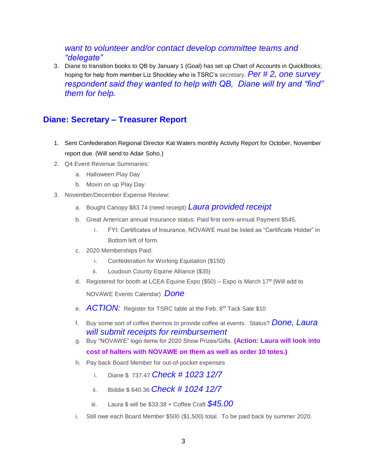#### *want to volunteer and/or contact develop committee teams and "delegate"*

3. Diane to transition books to QB by January 1 (Goal) has set up Chart of Accounts in QuickBooks; hoping for help from member Liz Shockley who is TSRC's secretary. *Per # 2, one survey respondent said they wanted to help with QB, Diane will try and "find" them for help.*

## **Diane: Secretary – Treasurer Report**

- 1. Sent Confederation Regional Director Kat Waters monthly Activity Report for October, November report due. (Will send to Adair Soho.)
- 2. Q4 Event Revenue Summaries:
	- a. Halloween Play Day
	- b. Movin on up Play Day
- 3. November/December Expense Review:
	- a. Bought Canopy \$83.74 (need receipt) *Laura provided receipt*
	- b. Great American annual Insurance status: Paid first semi-annual Payment \$545.
		- i. FYI: Certificates of Insurance, NOVAWE must be listed as "Certificate Holder" in Bottom left of form.
	- c. 2020 Memberships Paid:
		- i. Confederation for Working Equitation (\$150)
		- ii. Loudoun County Equine Alliance (\$35)
	- d. Registered for booth at LCEA Equine Expo  $(\$50)$  Expo is March 17<sup>th</sup> (Will add to

NOVAWE Events Calendar) *Done*

- e. **ACTION:** Register for TSRC table at the Feb. 8<sup>th</sup> Tack Sale \$10
- f. Buy some sort of coffee thermos to provide coffee at events. Status? *Done, Laura will submit receipts for reimbursement*
- g. Buy "NOVAWE" logo items for 2020 Show Prizes/Gifts. **(Action: Laura will look into cost of halters with NOVAWE on them as well as order 10 totes.)**
- h. Pay back Board Member for out-of-pocket expenses
	- i. Diane \$ 737.47 *Check # 1023 12/7*
	- ii. Biddie \$ 640.36 *Check # 1024 12/7*
	- iii. Laura \$ will be \$33.38 + Coffee Craft *\$45.00*
- i. Still owe each Board Member \$500 (\$1,500) total. To be paid back by summer 2020.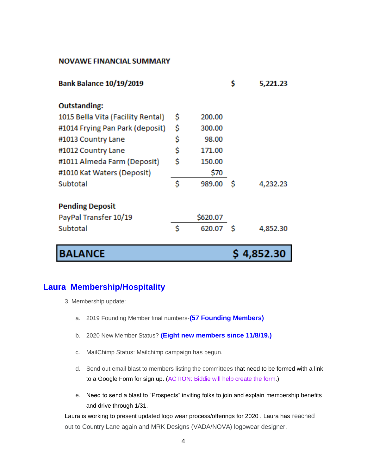#### **NOVAWE FINANCIAL SUMMARY**

| <b>Bank Balance 10/19/2019</b>    |    |          | \$ | 5,221.23 |
|-----------------------------------|----|----------|----|----------|
| <b>Outstanding:</b>               |    |          |    |          |
| 1015 Bella Vita (Facility Rental) | \$ | 200.00   |    |          |
| #1014 Frying Pan Park (deposit)   | \$ | 300.00   |    |          |
| #1013 Country Lane                | \$ | 98.00    |    |          |
| #1012 Country Lane                | \$ | 171.00   |    |          |
| #1011 Almeda Farm (Deposit)       | \$ | 150.00   |    |          |
| #1010 Kat Waters (Deposit)        |    | \$70     |    |          |
| Subtotal                          | Ś  | 989.00   | -S | 4,232.23 |
| <b>Pending Deposit</b>            |    |          |    |          |
| PayPal Transfer 10/19             |    | \$620.07 |    |          |
| Subtotal                          | Ś  | 620.07   | -S | 4,852.30 |
| <b>BALANCE</b>                    |    |          |    | 4,852.30 |

#### **Laura Membership/Hospitality**

- 3. Membership update:
	- a. 2019 Founding Member final numbers-**(57 Founding Members)**
	- b. 2020 New Member Status? **(Eight new members since 11/8/19.)**
	- c. MailChimp Status: Mailchimp campaign has begun.
	- d. Send out email blast to members listing the committees that need to be formed with a link to a Google Form for sign up. (ACTION: Biddie will help create the form.)
	- e. Need to send a blast to "Prospects" inviting folks to join and explain membership benefits and drive through 1/31.

Laura is working to present updated logo wear process/offerings for 2020 . Laura has reached out to Country Lane again and MRK Designs (VADA/NOVA) logowear designer.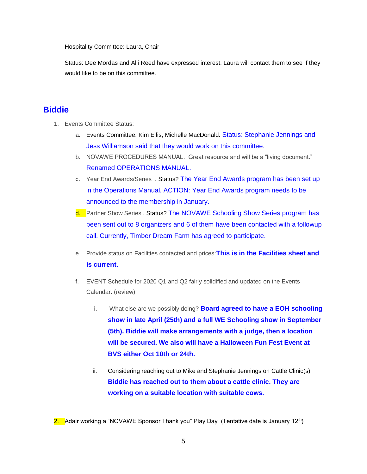Hospitality Committee: Laura, Chair

Status: Dee Mordas and Alli Reed have expressed interest. Laura will contact them to see if they would like to be on this committee.

#### **Biddie**

- 1. Events Committee Status:
	- a. Events Committee. Kim Ellis, Michelle MacDonald. Status: Stephanie Jennings and Jess Williamson said that they would work on this committee.
	- b. NOVAWE PROCEDURES MANUAL. Great resource and will be a "living document." Renamed OPERATIONS MANUAL.
	- c. Year End Awards/Series . Status? The Year End Awards program has been set up in the Operations Manual. ACTION: Year End Awards program needs to be announced to the membership in January.
	- d. Partner Show Series . Status? The NOVAWE Schooling Show Series program has been sent out to 8 organizers and 6 of them have been contacted with a followup call. Currently, Timber Dream Farm has agreed to participate.
	- e. Provide status on Facilities contacted and prices:**This is in the Facilities sheet and is current.**
	- f. EVENT Schedule for 2020 Q1 and Q2 fairly solidified and updated on the Events Calendar. (review)
		- i. What else are we possibly doing? **Board agreed to have a EOH schooling show in late April (25th) and a full WE Schooling show in September (5th). Biddie will make arrangements with a judge, then a location will be secured. We also will have a Halloween Fun Fest Event at BVS either Oct 10th or 24th.**
		- ii. Considering reaching out to Mike and Stephanie Jennings on Cattle Clinic(s) **Biddie has reached out to them about a cattle clinic. They are working on a suitable location with suitable cows.**

<sup>2.</sup> Adair working a "NOVAWE Sponsor Thank you" Play Day (Tentative date is January 12<sup>th</sup>)